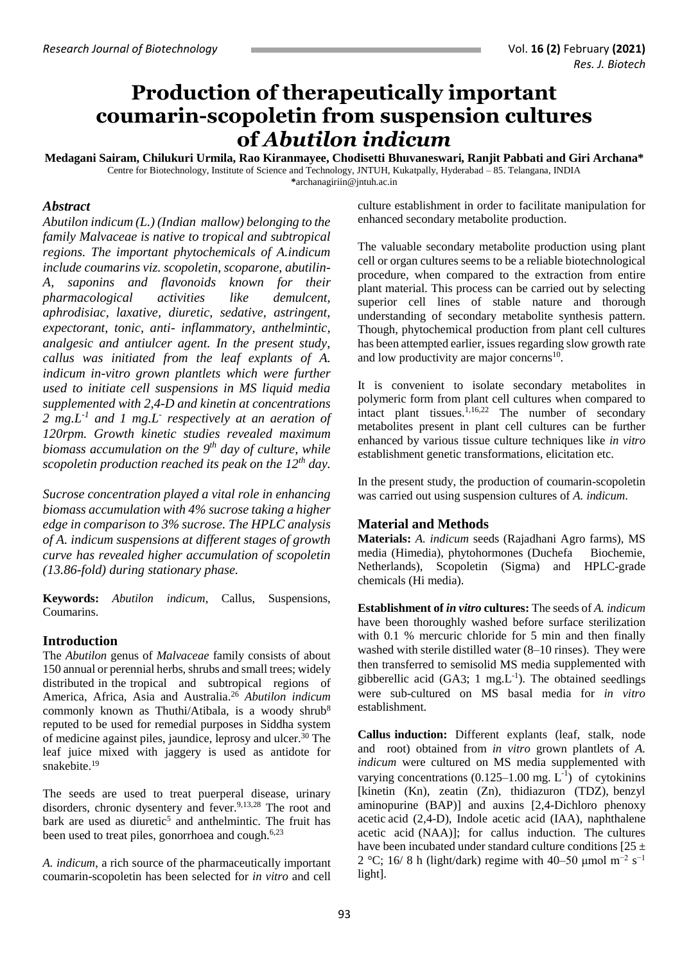# **Production of therapeutically important coumarin-scopoletin from suspension cultures of** *Abutilon indicum*

**Medagani Sairam, Chilukuri Urmila, Rao Kiranmayee, Chodisetti Bhuvaneswari, Ranjit Pabbati and Giri Archana\*** Centre for Biotechnology, Institute of Science and Technology, JNTUH, Kukatpally, Hyderabad – 85. Telangana, INDIA **\***[archanagiriin@jntuh.ac.in](mailto:*archanagiriin@jntuh.ac.in)

### *Abstract*

*Abutilon indicum (L.) (Indian mallow) belonging to the family Malvaceae is native to tropical and subtropical regions. The important phytochemicals of A.indicum include coumarins viz. scopoletin, scoparone, abutilin-A, saponins and flavonoids known for their pharmacological activities like demulcent, aphrodisiac, laxative, diuretic, sedative, astringent, expectorant, tonic, anti- inflammatory, anthelmintic, analgesic and antiulcer agent. In the present study, callus was initiated from the leaf explants of A. indicum in-vitro grown plantlets which were further used to initiate cell suspensions in MS liquid media supplemented with 2,4-D and kinetin at concentrations 2 mg.L-1 and 1 mg.L-respectively at an aeration of 120rpm. Growth kinetic studies revealed maximum biomass accumulation on the 9 th day of culture, while scopoletin production reached its peak on the 12th day.* 

*Sucrose concentration played a vital role in enhancing biomass accumulation with 4% sucrose taking a higher edge in comparison to 3% sucrose. The HPLC analysis of A. indicum suspensions at different stages of growth curve has revealed higher accumulation of scopoletin (13.86-fold) during stationary phase.*

**Keywords:** *Abutilon indicum*, Callus, Suspensions, Coumarins.

## **Introduction**

The *Abutilon* genus of *Malvaceae* family consists of about 150 annual or perennial herbs, shrubs and small trees; widely distributed in the tropical and subtropical regions of America, Africa, Asia and Australia. <sup>26</sup> *Abutilon indicum* commonly known as Thuthi/Atibala, is a woody shrub<sup>8</sup> reputed to be used for remedial purposes in Siddha system of medicine against piles, jaundice, leprosy and ulcer.<sup>30</sup> The leaf juice mixed with jaggery is used as antidote for snakebite.<sup>19</sup>

The seeds are used to treat puerperal disease, urinary disorders, chronic dysentery and fever.<sup>9,13,28</sup> The root and bark are used as diuretic<sup>5</sup> and anthelmintic. The fruit has been used to treat piles, gonorrhoea and cough.<sup>6,23</sup>

*A. indicum*, a rich source of the pharmaceutically important coumarin-scopoletin has been selected for *in vitro* and cell

culture establishment in order to facilitate manipulation for enhanced secondary metabolite production.

The valuable secondary metabolite production using plant cell or organ cultures seems to be a reliable biotechnological procedure, when compared to the extraction from entire plant material. This process can be carried out by selecting superior cell lines of stable nature and thorough understanding of secondary metabolite synthesis pattern. Though, phytochemical production from plant cell cultures has been attempted earlier, issues regarding slow growth rate and low productivity are major concerns<sup>10</sup>.

It is convenient to isolate secondary metabolites in polymeric form from plant cell cultures when compared to intact plant tissues. 1,16,22 The number of secondary metabolites present in plant cell cultures can be further enhanced by various tissue culture techniques like *in vitro*  establishment genetic transformations, elicitation etc.

In the present study, the production of coumarin-scopoletin was carried out using suspension cultures of *A. indicum*.

## **Material and Methods**

**Materials:** *A. indicum* seeds (Rajadhani Agro farms), MS media (Himedia), phytohormones (Duchefa Biochemie, Netherlands), Scopoletin (Sigma) and HPLC-grade chemicals (Hi media).

**Establishment of** *in vitro* **cultures:** The seeds of *A. indicum*  have been thoroughly washed before surface sterilization with 0.1 % mercuric chloride for 5 min and then finally washed with sterile distilled water (8–10 rinses). They were then transferred to semisolid MS media supplemented with gibberellic acid (GA3;  $1 \text{ mg.L}^{-1}$ ). The obtained seedlings were sub-cultured on MS basal media for *in vitro*  establishment.

**Callus induction:** Different explants (leaf, stalk, node and root) obtained from *in vitro* grown plantlets of *A. indicum* were cultured on MS media supplemented with varying concentrations  $(0.125-1.00 \text{ mg. L}^{-1})$  of cytokinins [kinetin (Kn), zeatin (Zn), thidiazuron (TDZ), benzyl aminopurine (BAP)] and auxins [2,4-Dichloro phenoxy acetic acid (2,4-D), Indole acetic acid (IAA), naphthalene acetic acid (NAA)]; for callus induction. The cultures have been incubated under standard culture conditions [25  $\pm$ 2 °C; 16/8 h (light/dark) regime with 40–50 µmol m<sup>-2</sup> s<sup>-1</sup> light].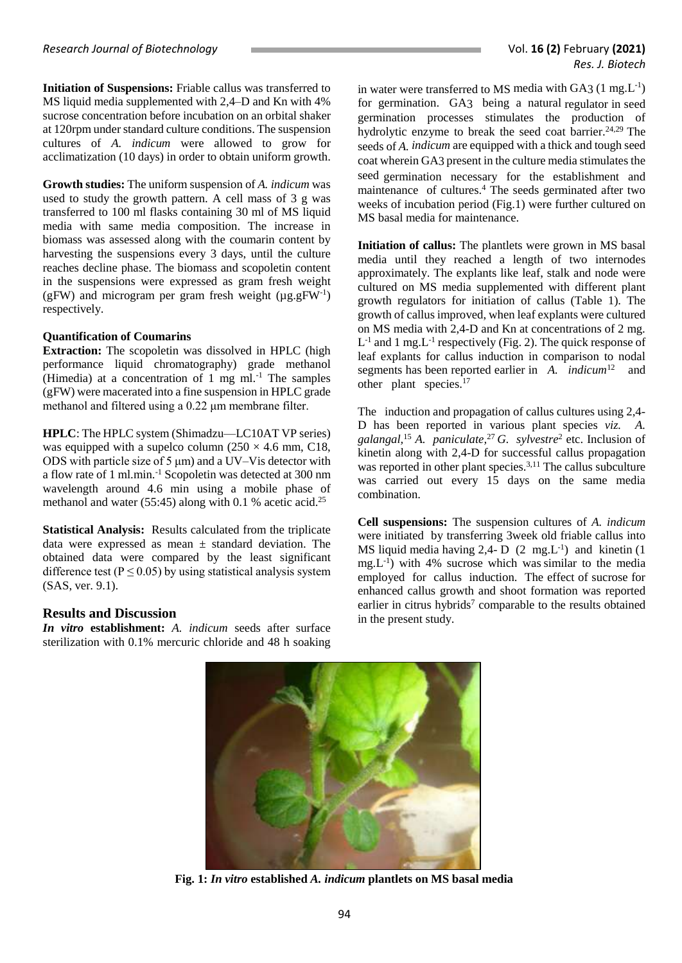**Initiation of Suspensions:** Friable callus was transferred to MS liquid media supplemented with 2,4–D and Kn with 4% sucrose concentration before incubation on an orbital shaker at 120rpm under standard culture conditions. The suspension cultures of *A. indicum* were allowed to grow for acclimatization (10 days) in order to obtain uniform growth.

**Growth studies:** The uniform suspension of *A. indicum* was used to study the growth pattern. A cell mass of 3 g was transferred to 100 ml flasks containing 30 ml of MS liquid media with same media composition. The increase in biomass was assessed along with the coumarin content by harvesting the suspensions every 3 days, until the culture reaches decline phase. The biomass and scopoletin content in the suspensions were expressed as gram fresh weight (gFW) and microgram per gram fresh weight  $(\mu g.gFW<sup>-1</sup>)$ respectively.

#### **Quantification of Coumarins**

**Extraction:** The scopoletin was dissolved in HPLC (high performance liquid chromatography) grade methanol (Himedia) at a concentration of 1 mg ml. $^{-1}$  The samples (gFW) were macerated into a fine suspension in HPLC grade methanol and filtered using a 0.22 μm membrane filter.

**HPLC**: The HPLC system (Shimadzu—LC10AT VP series) was equipped with a supelco column ( $250 \times 4.6$  mm, C18, ODS with particle size of 5 μm) and a UV–Vis detector with a flow rate of 1 ml.min. -1 Scopoletin was detected at 300 nm wavelength around 4.6 min using a mobile phase of methanol and water  $(55:45)$  along with 0.1 % acetic acid.<sup>25</sup>

**Statistical Analysis:** Results calculated from the triplicate data were expressed as mean ± standard deviation. The obtained data were compared by the least significant difference test ( $P \le 0.05$ ) by using statistical analysis system (SAS, ver. 9.1).

## **Results and Discussion**

*In vitro* **establishment:** *A. indicum* seeds after surface sterilization with 0.1% mercuric chloride and 48 h soaking

in water were transferred to MS media with GA3  $(1 \text{ mg.L}^{-1})$ for germination. GA3 being a natural regulator in seed germination processes stimulates the production of hydrolytic enzyme to break the seed coat barrier. 24,29 The seeds of *A. indicum* are equipped with a thick and tough seed coat wherein GA3 present in the culture media stimulates the seed germination necessary for the establishment and maintenance of cultures. <sup>4</sup> The seeds germinated after two weeks of incubation period (Fig.1) were further cultured on MS basal media for maintenance.

**Initiation of callus:** The plantlets were grown in MS basal media until they reached a length of two internodes approximately. The explants like leaf, stalk and node were cultured on MS media supplemented with different plant growth regulators for initiation of callus (Table 1). The growth of callus improved, when leaf explants were cultured on MS media with 2,4-D and Kn at concentrations of 2 mg.  $L^{-1}$  and 1 mg.  $L^{-1}$  respectively (Fig. 2). The quick response of leaf explants for callus induction in comparison to nodal segments has been reported earlier in A. *indicum*<sup>12</sup> and other plant species. 17

The induction and propagation of callus cultures using 2,4- D has been reported in various plant species *viz. A. galangal,*<sup>15</sup> *A. paniculate,*<sup>27</sup> *G. sylvestre*<sup>2</sup> etc. Inclusion of kinetin along with 2,4-D for successful callus propagation was reported in other plant species.<sup>3,11</sup> The callus subculture was carried out every 15 days on the same media combination.

**Cell suspensions:** The suspension cultures of *A. indicum*  were initiated by transferring 3week old friable callus into MS liquid media having 2,4- D  $(2 \text{ mg.L}^{-1})$  and kinetin  $(1 \text{ mg.u.})$  $mg.L^{-1}$ ) with 4% sucrose which was similar to the media employed for callus induction. The effect of sucrose for enhanced callus growth and shoot formation was reported earlier in citrus hybrids<sup>7</sup> comparable to the results obtained in the present study.



**Fig. 1:** *In vitro* **established** *A. indicum* **plantlets on MS basal media**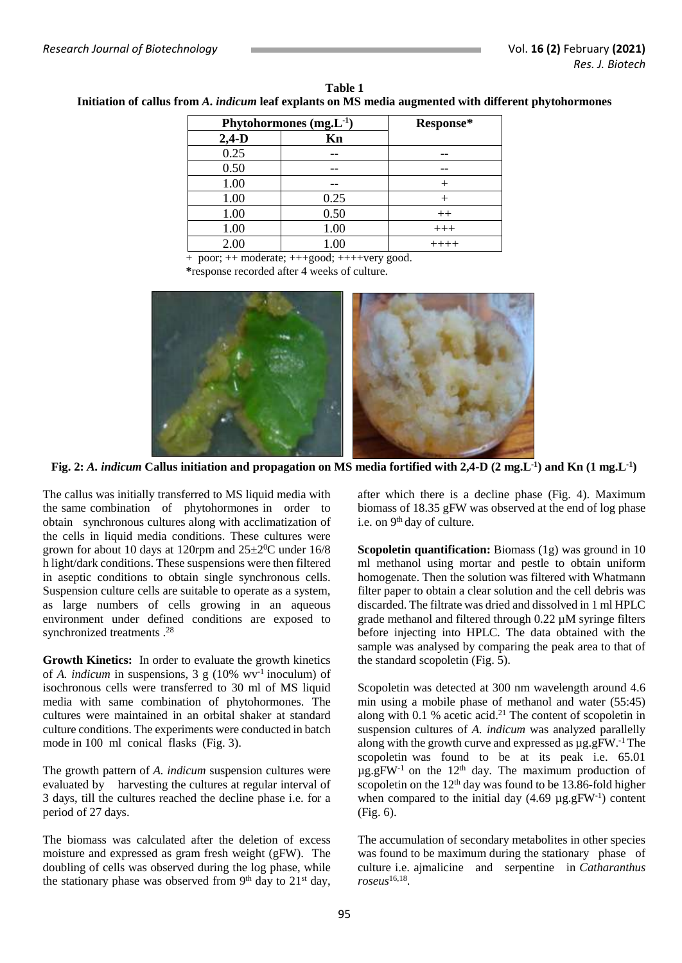| Phytohormones $(mg.L^{-1})$ |      | Response* |
|-----------------------------|------|-----------|
| $2,4-D$                     | Kn   |           |
| 0.25                        |      |           |
| 0.50                        |      |           |
| 1.00                        |      |           |
| 1.00                        | 0.25 |           |
| 1.00                        | 0.50 | $++$      |
| 1.00                        | 1.00 | $+++$     |
| 2.00                        | 1.00 |           |

**Table 1 Initiation of callus from** *A. indicum* **leaf explants on MS media augmented with different phytohormones**

 + poor; ++ moderate; +++good; ++++very good. **\***response recorded after 4 weeks of culture.



**Fig. 2:** *A. indicum* **Callus initiation and propagation on MS media fortified with 2,4-D (2 mg.L-1 ) and Kn (1 mg.L-1 )**

The callus was initially transferred to MS liquid media with the same combination of phytohormones in order to obtain synchronous cultures along with acclimatization of the cells in liquid media conditions. These cultures were grown for about 10 days at 120rpm and  $25\pm2\degree$ C under 16/8 h light/dark conditions. These suspensions were then filtered in aseptic conditions to obtain single synchronous cells. Suspension culture cells are suitable to operate as a system, as large numbers of cells growing in an aqueous environment under defined conditions are exposed to synchronized treatments . 28

**Growth Kinetics:** In order to evaluate the growth kinetics of *A. indicum* in suspensions, 3 g (10% wv-1 inoculum) of isochronous cells were transferred to 30 ml of MS liquid media with same combination of phytohormones. The cultures were maintained in an orbital shaker at standard culture conditions. The experiments were conducted in batch mode in 100 ml conical flasks (Fig. 3).

The growth pattern of *A. indicum* suspension cultures were evaluated by harvesting the cultures at regular interval of 3 days, till the cultures reached the decline phase i.e. for a period of 27 days.

The biomass was calculated after the deletion of excess moisture and expressed as gram fresh weight (gFW). The doubling of cells was observed during the log phase, while the stationary phase was observed from  $9<sup>th</sup>$  day to  $21<sup>st</sup>$  day, after which there is a decline phase (Fig. 4). Maximum biomass of 18.35 gFW was observed at the end of log phase i.e. on 9<sup>th</sup> day of culture.

**Scopoletin quantification:** Biomass (1g) was ground in 10 ml methanol using mortar and pestle to obtain uniform homogenate. Then the solution was filtered with Whatmann filter paper to obtain a clear solution and the cell debris was discarded. The filtrate was dried and dissolved in 1 ml HPLC grade methanol and filtered through 0.22 µM syringe filters before injecting into HPLC. The data obtained with the sample was analysed by comparing the peak area to that of the standard scopoletin (Fig. 5).

Scopoletin was detected at 300 nm wavelength around 4.6 min using a mobile phase of methanol and water (55:45) along with 0.1 % acetic acid. <sup>21</sup> The content of scopoletin in suspension cultures of *A. indicum* was analyzed parallelly along with the growth curve and expressed as  $\mu$ g.gFW.<sup>-1</sup> The scopoletin was found to be at its peak i.e. 65.01  $\mu$ g.gFW<sup>-1</sup> on the 12<sup>th</sup> day. The maximum production of scopoletin on the  $12<sup>th</sup>$  day was found to be 13.86-fold higher when compared to the initial day  $(4.69 \text{ µg.gFW}^{-1})$  content (Fig. 6).

The accumulation of secondary metabolites in other species was found to be maximum during the stationary phase of culture i.e. ajmalicine and serpentine in *Catharanthus roseus*16,18 .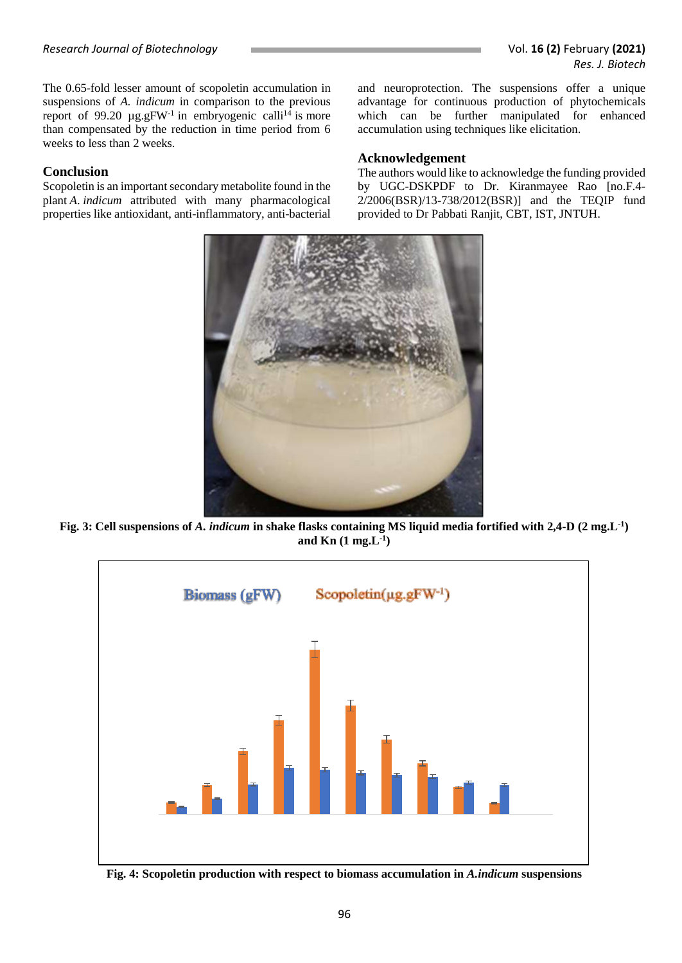The 0.65-fold lesser amount of scopoletin accumulation in suspensions of *A. indicum* in comparison to the previous report of 99.20  $\mu$ g.gFW<sup>-1</sup> in embryogenic calli<sup>14</sup> is more than compensated by the reduction in time period from 6 weeks to less than 2 weeks.

## **Conclusion**

Scopoletin is an important secondary metabolite found in the plant *A*. *indicum* attributed with many pharmacological properties like antioxidant, anti-inflammatory, anti-bacterial and neuroprotection. The suspensions offer a unique advantage for continuous production of phytochemicals which can be further manipulated for enhanced accumulation using techniques like elicitation.

## **Acknowledgement**

The authors would like to acknowledge the funding provided by UGC-DSKPDF to Dr. Kiranmayee Rao [no.F.4- 2/2006(BSR)/13-738/2012(BSR)] and the TEQIP fund provided to Dr Pabbati Ranjit, CBT, IST, JNTUH.



**Fig. 3: Cell suspensions of** *A. indicum* **in shake flasks containing MS liquid media fortified with 2,4-D (2 mg.L-1 ) and Kn (1 mg.L-1 )**



**Fig. 4: Scopoletin production with respect to biomass accumulation in** *A.indicum* **suspensions**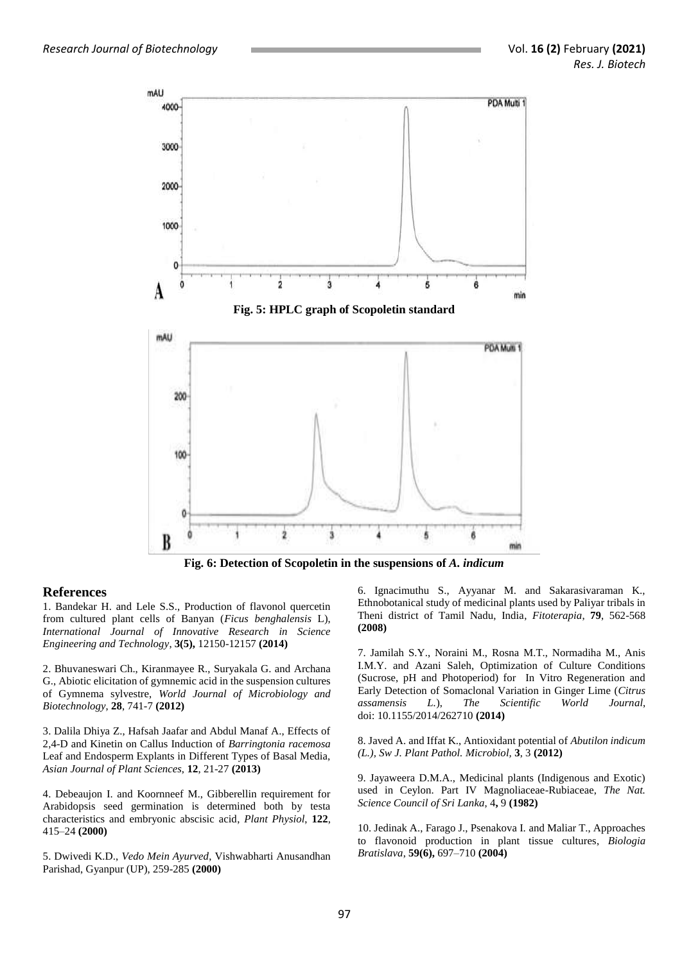

#### **References**

1. Bandekar H. and Lele S.S., Production of flavonol quercetin from cultured plant cells of Banyan (*Ficus benghalensis* L), *International Journal of Innovative Research in Science Engineering and Technology*, **3(5),** 12150-12157 **(2014)**

2. Bhuvaneswari Ch., Kiranmayee R., Suryakala G. and Archana G., Abiotic elicitation of gymnemic acid in the suspension cultures of Gymnema sylvestre, *World Journal of Microbiology and Biotechnology*, **28**, 741-7 **(2012)**

3. Dalila Dhiya Z., Hafsah Jaafar and Abdul Manaf A., Effects of 2,4-D and Kinetin on Callus Induction of *Barringtonia racemosa* Leaf and Endosperm Explants in Different Types of Basal Media, *Asian Journal of Plant Sciences*, **12**, 21-27 **(2013)**

4. Debeaujon I. and Koornneef M., Gibberellin requirement for Arabidopsis seed germination is determined both by testa characteristics and embryonic abscisic acid, *Plant Physiol*, **122**, 415–24 **(2000)**

5. Dwivedi K.D., *Vedo Mein Ayurved*, Vishwabharti Anusandhan Parishad, Gyanpur (UP), 259-285 **(2000)**

6. Ignacimuthu S., Ayyanar M. and Sakarasivaraman K., Ethnobotanical study of medicinal plants used by Paliyar tribals in Theni district of Tamil Nadu, India, *Fitoterapia*, **79**, 562-568 **(2008)**

7. Jamilah S.Y., Noraini M., Rosna M.T., Normadiha M., Anis I.M.Y. and Azani Saleh, Optimization of Culture Conditions (Sucrose, pH and Photoperiod) for In Vitro Regeneration and Early Detection of Somaclonal Variation in Ginger Lime (*Citrus assamensis L.*), *The Scientific World Journal*, doi: [10.1155/2014/262710](https://dx.doi.org/10.1155%2F2014%2F262710) **(2014)**

8. Javed A. and Iffat K., Antioxidant potential of *Abutilon indicum (L.), Sw J. Plant Pathol. Microbiol,* **3**, 3 **(2012)**

9. Jayaweera D.M.A., Medicinal plants (Indigenous and Exotic) used in Ceylon. Part IV Magnoliaceae-Rubiaceae, *The Nat. Science Council of Sri Lanka*, 4**,** 9 **(1982)**

10. Jedinak A., Farago J., Psenakova I. and Maliar T., Approaches to flavonoid production in plant tissue cultures, *Biologia Bratislava*, **59(6),** 697–710 **(2004)**